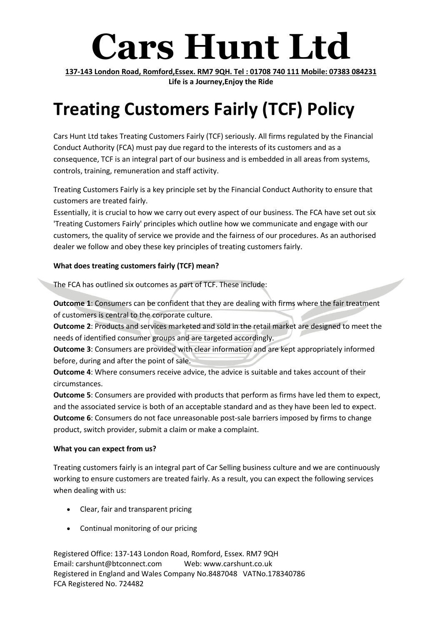# **Cars Hunt Ltd**

**137-143 London Road, Romford,Essex. RM7 9QH. Tel : 01708 740 111 Mobile: 07383 084231 Life is a Journey,Enjoy the Ride**

# **Treating Customers Fairly (TCF) Policy**

Cars Hunt Ltd takes Treating Customers Fairly (TCF) seriously. All firms regulated by the Financial Conduct Authority (FCA) must pay due regard to the interests of its customers and as a consequence, TCF is an integral part of our business and is embedded in all areas from systems, controls, training, remuneration and staff activity.

Treating Customers Fairly is a key principle set by the Financial Conduct Authority to ensure that customers are treated fairly.

Essentially, it is crucial to how we carry out every aspect of our business. The FCA have set out six 'Treating Customers Fairly' principles which outline how we communicate and engage with our customers, the quality of service we provide and the fairness of our procedures. As an authorised dealer we follow and obey these key principles of treating customers fairly.

# **What does treating customers fairly (TCF) mean?**

The FCA has outlined six outcomes as part of TCF. These include:

**Outcome 1**: Consumers can be confident that they are dealing with firms where the fair treatment of customers is central to the corporate culture.

**Outcome 2**: Products and services marketed and sold in the retail market are designed to meet the needs of identified consumer groups and are targeted accordingly.

**Outcome 3**: Consumers are provided with clear information and are kept appropriately informed before, during and after the point of sale.

**Outcome 4**: Where consumers receive advice, the advice is suitable and takes account of their circumstances.

**Outcome 5**: Consumers are provided with products that perform as firms have led them to expect, and the associated service is both of an acceptable standard and as they have been led to expect. **Outcome 6**: Consumers do not face unreasonable post-sale barriers imposed by firms to change product, switch provider, submit a claim or make a complaint.

## **What you can expect from us?**

Treating customers fairly is an integral part of Car Selling business culture and we are continuously working to ensure customers are treated fairly. As a result, you can expect the following services when dealing with us:

- Clear, fair and transparent pricing
- Continual monitoring of our pricing

Registered Office: 137-143 London Road, Romford, Essex. RM7 9QH Email: carshunt@btconnect.com Web: www.carshunt.co.uk Registered in England and Wales Company No.8487048 VATNo.178340786 FCA Registered No. 724482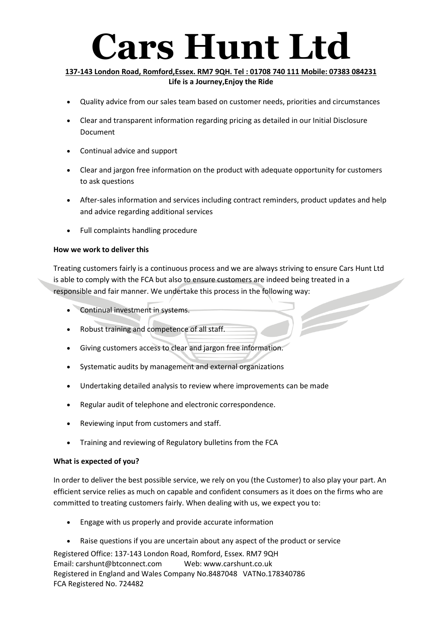# **Cars Hunt Ltd**

### **137-143 London Road, Romford,Essex. RM7 9QH. Tel : 01708 740 111 Mobile: 07383 084231 Life is a Journey,Enjoy the Ride**

- Quality advice from our sales team based on customer needs, priorities and circumstances
- Clear and transparent information regarding pricing as detailed in our Initial Disclosure Document
- Continual advice and support
- Clear and jargon free information on the product with adequate opportunity for customers to ask questions
- After-sales information and services including contract reminders, product updates and help and advice regarding additional services
- Full complaints handling procedure

#### **How we work to deliver this**

Treating customers fairly is a continuous process and we are always striving to ensure Cars Hunt Ltd is able to comply with the FCA but also to ensure customers are indeed being treated in a responsible and fair manner. We undertake this process in the following way:

- Continual investment in systems.
- Robust training and competence of all staff.
- Giving customers access to clear and jargon free information.
- Systematic audits by management and external organizations
- Undertaking detailed analysis to review where improvements can be made
- Regular audit of telephone and electronic correspondence.
- Reviewing input from customers and staff.
- Training and reviewing of Regulatory bulletins from the FCA

## **What is expected of you?**

In order to deliver the best possible service, we rely on you (the Customer) to also play your part. An efficient service relies as much on capable and confident consumers as it does on the firms who are committed to treating customers fairly. When dealing with us, we expect you to:

- Engage with us properly and provide accurate information
- Raise questions if you are uncertain about any aspect of the product or service

Registered Office: 137-143 London Road, Romford, Essex. RM7 9QH Email: carshunt@btconnect.com Web: www.carshunt.co.uk Registered in England and Wales Company No.8487048 VATNo.178340786 FCA Registered No. 724482